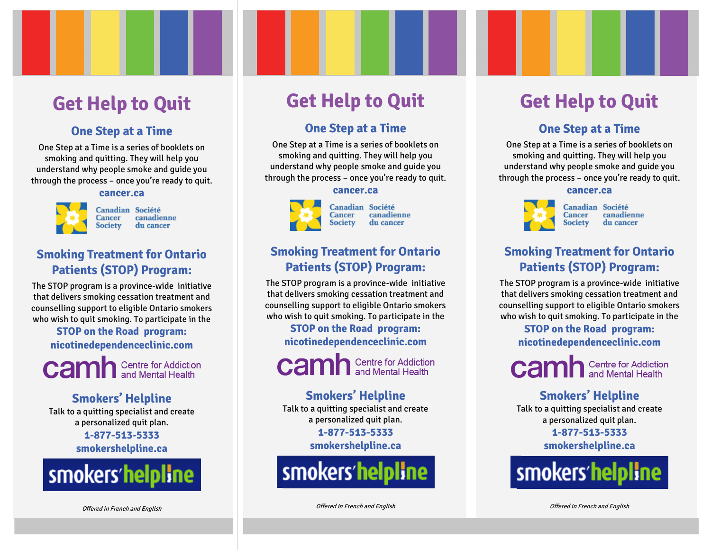## **Get Help to Quit**

#### **One Step at a Time**

One Step at a Time is a series of booklets on smoking and quitting. They will help you understand why people smoke and guide you through the process – once you're ready to quit.

#### **cancer.ca**



Canadian Société Cancer canadienne Society du cancer

### **Smoking Treatment for Ontario Patients (STOP) Program:**

The STOP program is a province-wide initiative that delivers smoking cessation treatment and counselling support to eligible Ontario smokers who wish to quit smoking. To participate in the

> **STOP on the Road program: nicotinedependenceclinic.com**

**Camh** Centre for Addiction

#### **Smokers' Helpline**

Talk to a quitting specialist and create a personalized quit plan.

> **1-877-513-5333 smokershelpline.ca**



## **Get Help to Quit**

#### **One Step at a Time**

One Step at a Time is a series of booklets on smoking and quitting. They will help you understand why people smoke and guide you through the process – once you're ready to quit.

#### **cancer.ca**



Canadian Société Cancer canadienne Society du cancer

### **Smoking Treatment for Ontario Patients (STOP) Program:**

The STOP program is a province-wide initiative that delivers smoking cessation treatment and counselling support to eligible Ontario smokers who wish to quit smoking. To participate in the

> **STOP on the Road program: nicotinedependenceclinic.com**

**Camh** Centre for Addiction

#### **Smokers' Helpline**

Talk to a quitting specialist and create a personalized quit plan. **1-877-513-5333**

**smokershelpline.ca**



Offered in French and English

## **Get Help to Quit**

### **One Step at a Time**

One Step at a Time is a series of booklets on smoking and quitting. They will help you understand why people smoke and guide you through the process – once you're ready to quit.

#### **cancer.ca**



Canadian Société Cancer canadienne **Society** du cancer

### **Smoking Treatment for Ontario Patients (STOP) Program:**

The STOP program is a province-wide initiative that delivers smoking cessation treatment and counselling support to eligible Ontario smokers who wish to quit smoking. To participate in the

> **STOP on the Road program: nicotinedependenceclinic.com**



### **Smokers' Helpline**

Talk to a quitting specialist and create a personalized quit plan.

**1-877-513-5333**

**smokershelpline.ca**